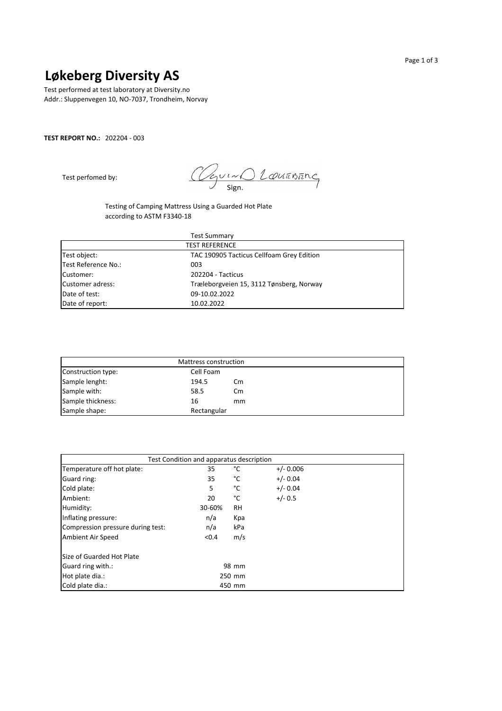## **Løkeberg Diversity AS**

Test performed at test laboratory at Diversity.no Addr.: Sluppenvegen 10, NO-7037, Trondheim, Norvay

### **TEST REPORT NO.:** 202204 - 003

Test perfomed by:

O Louanung hov Sign.

Testing of Camping Mattress Using a Guarded Hot Plate according to ASTM F3340-18

| <b>Test Summary</b> |                                           |  |  |  |
|---------------------|-------------------------------------------|--|--|--|
|                     | <b>TEST REFERENCE</b>                     |  |  |  |
| Test object:        | TAC 190905 Tacticus Cellfoam Grey Edition |  |  |  |
| Test Reference No.: | 003                                       |  |  |  |
| Customer:           | 202204 - Tacticus                         |  |  |  |
| Customer adress:    | Træleborgveien 15, 3112 Tønsberg, Norway  |  |  |  |
| Date of test:       | 09-10.02.2022                             |  |  |  |
| Date of report:     | 10.02.2022                                |  |  |  |

| Mattress construction |             |    |  |  |  |
|-----------------------|-------------|----|--|--|--|
| Construction type:    | Cell Foam   |    |  |  |  |
| Sample lenght:        | 194.5       | Cm |  |  |  |
| Sample with:          | 58.5        | Cm |  |  |  |
| Sample thickness:     | 16          | mm |  |  |  |
| Sample shape:         | Rectangular |    |  |  |  |

| Test Condition and apparatus description |        |           |             |  |  |
|------------------------------------------|--------|-----------|-------------|--|--|
| Temperature off hot plate:               | 35     | °C        | $+/- 0.006$ |  |  |
| Guard ring:                              | 35     | °C        | $+/- 0.04$  |  |  |
| Cold plate:                              | 5      | °C        | $+/- 0.04$  |  |  |
| Ambient:                                 | 20     | °C        | $+/- 0.5$   |  |  |
| Humidity:                                | 30-60% | <b>RH</b> |             |  |  |
| Inflating pressure:                      | n/a    | Kpa       |             |  |  |
| Compression pressure during test:        | n/a    | kPa       |             |  |  |
| Ambient Air Speed                        | < 0.4  | m/s       |             |  |  |
| Size of Guarded Hot Plate                |        |           |             |  |  |
| Guard ring with.:                        |        | 98 mm     |             |  |  |
| Hot plate dia.:                          |        | 250 mm    |             |  |  |
| Cold plate dia.:                         |        | 450 mm    |             |  |  |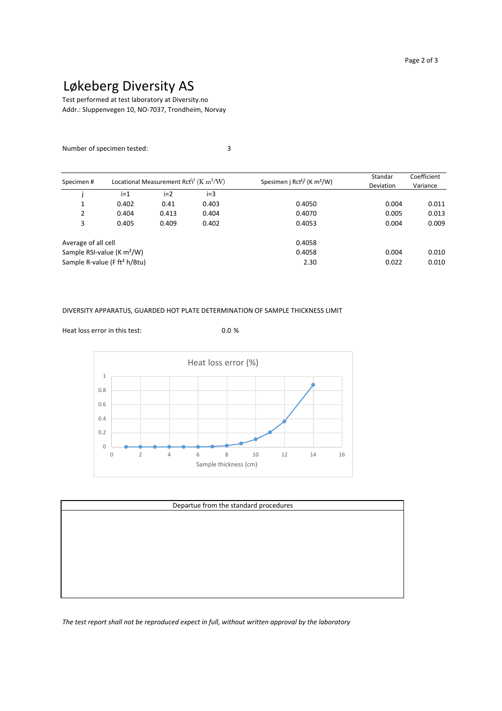# Løkeberg Diversity AS

Addr.: Sluppenvegen 10, NO-7037, Trondheim, Norvay Test performed at test laboratory at Diversity.no

### Number of specimen tested: 3

|                     | Locational Measurement Rct <sup>(j)</sup> (K m <sup>2</sup> /W) |       |       | Standar                                             | Coefficient |          |
|---------------------|-----------------------------------------------------------------|-------|-------|-----------------------------------------------------|-------------|----------|
| Specimen#           |                                                                 |       |       | Spesimen j Rct <sup>(j)</sup> (K m <sup>2</sup> /W) | Deviation   | Variance |
|                     | $i=1$                                                           | $i=2$ | $i=3$ |                                                     |             |          |
| 1                   | 0.402                                                           | 0.41  | 0.403 | 0.4050                                              | 0.004       | 0.011    |
| 2                   | 0.404                                                           | 0.413 | 0.404 | 0.4070                                              | 0.005       | 0.013    |
| 3                   | 0.405                                                           | 0.409 | 0.402 | 0.4053                                              | 0.004       | 0.009    |
| Average of all cell |                                                                 |       |       | 0.4058                                              |             |          |
|                     | Sample RSI-value (K $m^2/W$ )                                   |       |       | 0.4058                                              | 0.004       | 0.010    |
|                     | Sample R-value (F ft <sup>2</sup> h/Btu)                        |       |       | 2.30                                                | 0.022       | 0.010    |

#### DIVERSITY APPARATUS, GUARDED HOT PLATE DETERMINATION OF SAMPLE THICKNESS LIMIT



| Departue from the standard procedures |  |  |  |  |  |
|---------------------------------------|--|--|--|--|--|
|                                       |  |  |  |  |  |
|                                       |  |  |  |  |  |
|                                       |  |  |  |  |  |
|                                       |  |  |  |  |  |
|                                       |  |  |  |  |  |
|                                       |  |  |  |  |  |
|                                       |  |  |  |  |  |
|                                       |  |  |  |  |  |

*The test report shall not be reproduced expect in full, without written approval by the laboratory*